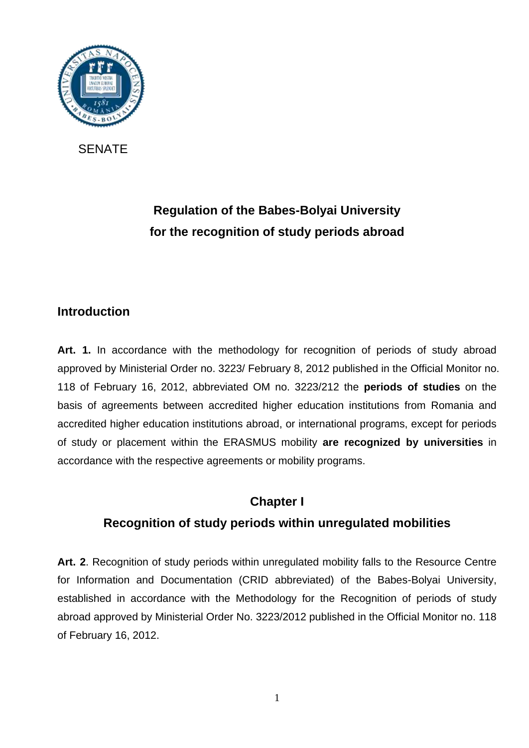

SENATE

# **Regulation of the Babes-Bolyai University for the recognition of study periods abroad**

## **Introduction**

Art. 1. In accordance with the methodology for recognition of periods of study abroad approved by Ministerial Order no. 3223/ February 8, 2012 published in the Official Monitor no. 118 of February 16, 2012, abbreviated OM no. 3223/212 the **periods of studies** on the basis of agreements between accredited higher education institutions from Romania and accredited higher education institutions abroad, or international programs, except for periods of study or placement within the ERASMUS mobility **are recognized by universities** in accordance with the respective agreements or mobility programs.

### **Chapter I**

## **Recognition of study periods within unregulated mobilities**

**Art. 2**. Recognition of study periods within unregulated mobility falls to the Resource Centre for Information and Documentation (CRID abbreviated) of the Babes-Bolyai University, established in accordance with the Methodology for the Recognition of periods of study abroad approved by Ministerial Order No. 3223/2012 published in the Official Monitor no. 118 of February 16, 2012.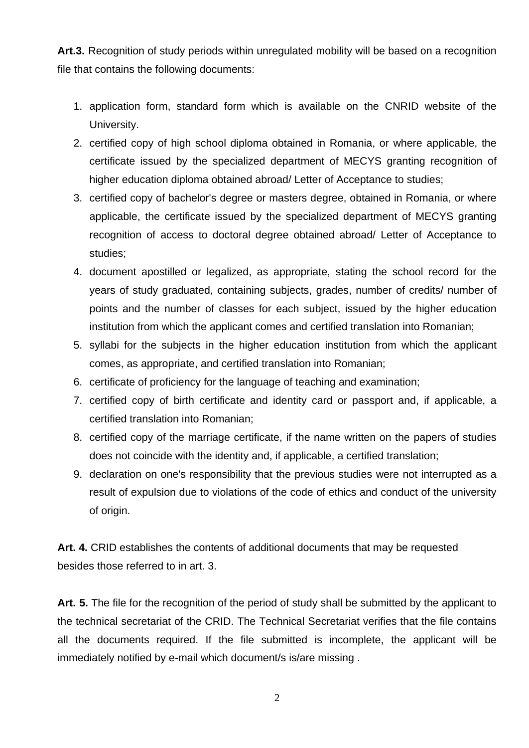**Art.3.** Recognition of study periods within unregulated mobility will be based on a recognition file that contains the following documents:

- 1. application form, standard form which is available on the CNRID website of the University.
- 2. certified copy of high school diploma obtained in Romania, or where applicable, the certificate issued by the specialized department of MECYS granting recognition of higher education diploma obtained abroad/ Letter of Acceptance to studies;
- 3. certified copy of bachelor's degree or masters degree, obtained in Romania, or where applicable, the certificate issued by the specialized department of MECYS granting recognition of access to doctoral degree obtained abroad/ Letter of Acceptance to studies;
- 4. document apostilled or legalized, as appropriate, stating the school record for the years of study graduated, containing subjects, grades, number of credits/ number of points and the number of classes for each subject, issued by the higher education institution from which the applicant comes and certified translation into Romanian;
- 5. syllabi for the subjects in the higher education institution from which the applicant comes, as appropriate, and certified translation into Romanian;
- 6. certificate of proficiency for the language of teaching and examination;
- 7. certified copy of birth certificate and identity card or passport and, if applicable, a certified translation into Romanian;
- 8. certified copy of the marriage certificate, if the name written on the papers of studies does not coincide with the identity and, if applicable, a certified translation;
- 9. declaration on one's responsibility that the previous studies were not interrupted as a result of expulsion due to violations of the code of ethics and conduct of the university of origin.

**Art. 4.** CRID establishes the contents of additional documents that may be requested besides those referred to in art. 3.

**Art. 5.** The file for the recognition of the period of study shall be submitted by the applicant to the technical secretariat of the CRID. The Technical Secretariat verifies that the file contains all the documents required. If the file submitted is incomplete, the applicant will be immediately notified by e-mail which document/s is/are missing .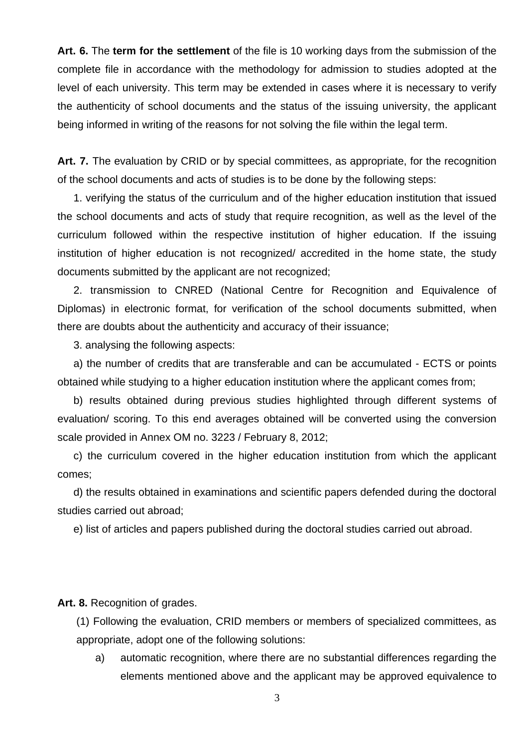**Art. 6.** The **term for the settlement** of the file is 10 working days from the submission of the complete file in accordance with the methodology for admission to studies adopted at the level of each university. This term may be extended in cases where it is necessary to verify the authenticity of school documents and the status of the issuing university, the applicant being informed in writing of the reasons for not solving the file within the legal term.

Art. 7. The evaluation by CRID or by special committees, as appropriate, for the recognition of the school documents and acts of studies is to be done by the following steps:

1. verifying the status of the curriculum and of the higher education institution that issued the school documents and acts of study that require recognition, as well as the level of the curriculum followed within the respective institution of higher education. If the issuing institution of higher education is not recognized/ accredited in the home state, the study documents submitted by the applicant are not recognized;

2. transmission to CNRED (National Centre for Recognition and Equivalence of Diplomas) in electronic format, for verification of the school documents submitted, when there are doubts about the authenticity and accuracy of their issuance;

3. analysing the following aspects:

a) the number of credits that are transferable and can be accumulated - ECTS or points obtained while studying to a higher education institution where the applicant comes from;

b) results obtained during previous studies highlighted through different systems of evaluation/ scoring. To this end averages obtained will be converted using the conversion scale provided in Annex OM no. 3223 / February 8, 2012;

c) the curriculum covered in the higher education institution from which the applicant comes;

d) the results obtained in examinations and scientific papers defended during the doctoral studies carried out abroad;

e) list of articles and papers published during the doctoral studies carried out abroad.

**Art. 8.** Recognition of grades.

(1) Following the evaluation, CRID members or members of specialized committees, as appropriate, adopt one of the following solutions:

a) automatic recognition, where there are no substantial differences regarding the elements mentioned above and the applicant may be approved equivalence to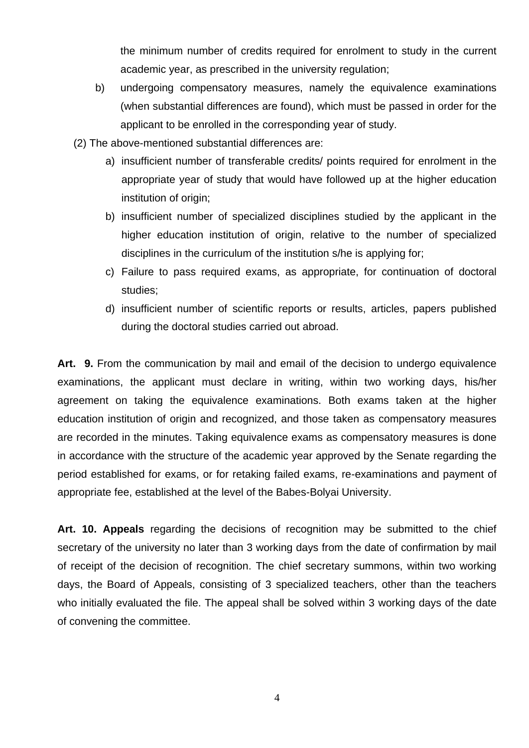the minimum number of credits required for enrolment to study in the current academic year, as prescribed in the university regulation;

- b) undergoing compensatory measures, namely the equivalence examinations (when substantial differences are found), which must be passed in order for the applicant to be enrolled in the corresponding year of study.
- (2) The above-mentioned substantial differences are:
	- a) insufficient number of transferable credits/ points required for enrolment in the appropriate year of study that would have followed up at the higher education institution of origin;
	- b) insufficient number of specialized disciplines studied by the applicant in the higher education institution of origin, relative to the number of specialized disciplines in the curriculum of the institution s/he is applying for;
	- c) Failure to pass required exams, as appropriate, for continuation of doctoral studies;
	- d) insufficient number of scientific reports or results, articles, papers published during the doctoral studies carried out abroad.

**Art. 9.** From the communication by mail and email of the decision to undergo equivalence examinations, the applicant must declare in writing, within two working days, his/her agreement on taking the equivalence examinations. Both exams taken at the higher education institution of origin and recognized, and those taken as compensatory measures are recorded in the minutes. Taking equivalence exams as compensatory measures is done in accordance with the structure of the academic year approved by the Senate regarding the period established for exams, or for retaking failed exams, re-examinations and payment of appropriate fee, established at the level of the Babes-Bolyai University.

**Art. 10. Appeals** regarding the decisions of recognition may be submitted to the chief secretary of the university no later than 3 working days from the date of confirmation by mail of receipt of the decision of recognition. The chief secretary summons, within two working days, the Board of Appeals, consisting of 3 specialized teachers, other than the teachers who initially evaluated the file. The appeal shall be solved within 3 working days of the date of convening the committee.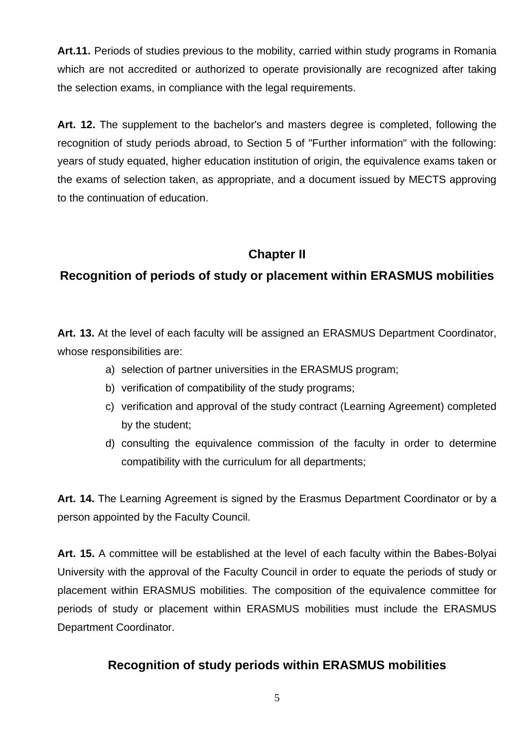**Art.11.** Periods of studies previous to the mobility, carried within study programs in Romania which are not accredited or authorized to operate provisionally are recognized after taking the selection exams, in compliance with the legal requirements.

**Art. 12.** The supplement to the bachelor's and masters degree is completed, following the recognition of study periods abroad, to Section 5 of "Further information" with the following: years of study equated, higher education institution of origin, the equivalence exams taken or the exams of selection taken, as appropriate, and a document issued by MECTS approving to the continuation of education.

## **Chapter II**

## **Recognition of periods of study or placement within ERASMUS mobilities**

**Art. 13.** At the level of each faculty will be assigned an ERASMUS Department Coordinator, whose responsibilities are:

- a) selection of partner universities in the ERASMUS program;
- b) verification of compatibility of the study programs;
- c) verification and approval of the study contract (Learning Agreement) completed by the student;
- d) consulting the equivalence commission of the faculty in order to determine compatibility with the curriculum for all departments;

**Art. 14.** The Learning Agreement is signed by the Erasmus Department Coordinator or by a person appointed by the Faculty Council.

**Art. 15.** A committee will be established at the level of each faculty within the Babes-Bolyai University with the approval of the Faculty Council in order to equate the periods of study or placement within ERASMUS mobilities. The composition of the equivalence committee for periods of study or placement within ERASMUS mobilities must include the ERASMUS Department Coordinator.

### **Recognition of study periods within ERASMUS mobilities**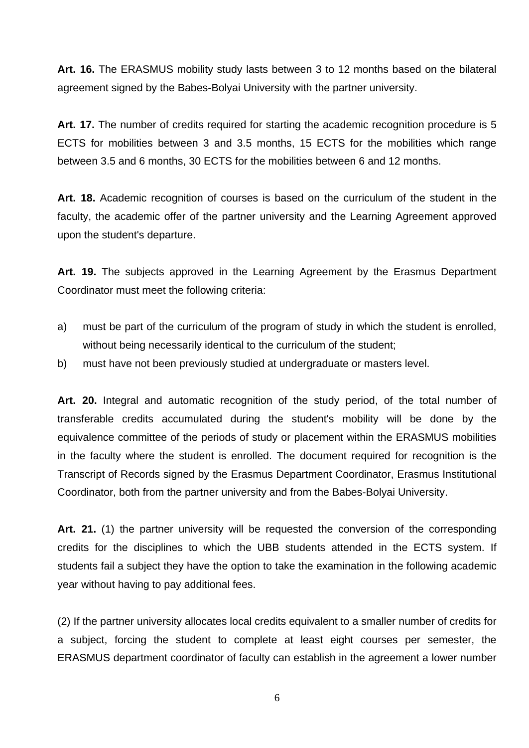**Art. 16.** The ERASMUS mobility study lasts between 3 to 12 months based on the bilateral agreement signed by the Babes-Bolyai University with the partner university.

Art. 17. The number of credits required for starting the academic recognition procedure is 5 ECTS for mobilities between 3 and 3.5 months, 15 ECTS for the mobilities which range between 3.5 and 6 months, 30 ECTS for the mobilities between 6 and 12 months.

**Art. 18.** Academic recognition of courses is based on the curriculum of the student in the faculty, the academic offer of the partner university and the Learning Agreement approved upon the student's departure.

**Art. 19.** The subjects approved in the Learning Agreement by the Erasmus Department Coordinator must meet the following criteria:

- a) must be part of the curriculum of the program of study in which the student is enrolled, without being necessarily identical to the curriculum of the student;
- b) must have not been previously studied at undergraduate or masters level.

**Art. 20.** Integral and automatic recognition of the study period, of the total number of transferable credits accumulated during the student's mobility will be done by the equivalence committee of the periods of study or placement within the ERASMUS mobilities in the faculty where the student is enrolled. The document required for recognition is the Transcript of Records signed by the Erasmus Department Coordinator, Erasmus Institutional Coordinator, both from the partner university and from the Babes-Bolyai University.

**Art. 21.** (1) the partner university will be requested the conversion of the corresponding credits for the disciplines to which the UBB students attended in the ECTS system. If students fail a subject they have the option to take the examination in the following academic year without having to pay additional fees.

(2) If the partner university allocates local credits equivalent to a smaller number of credits for a subject, forcing the student to complete at least eight courses per semester, the ERASMUS department coordinator of faculty can establish in the agreement a lower number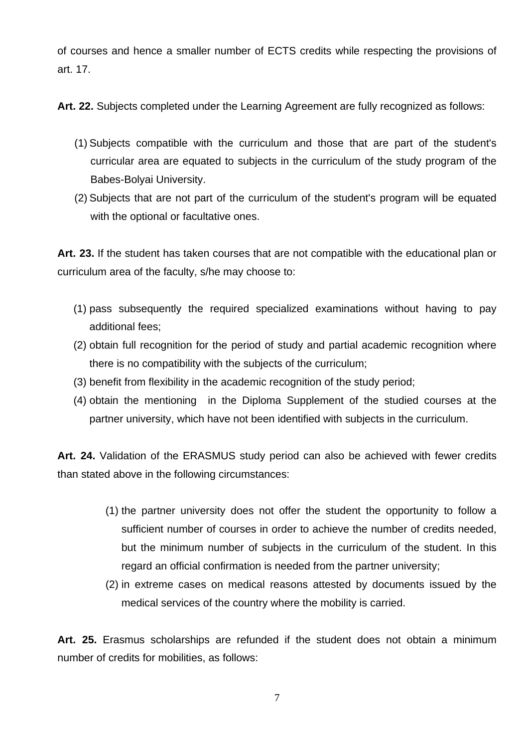of courses and hence a smaller number of ECTS credits while respecting the provisions of art. 17.

**Art. 22.** Subjects completed under the Learning Agreement are fully recognized as follows:

- (1) Subjects compatible with the curriculum and those that are part of the student's curricular area are equated to subjects in the curriculum of the study program of the Babes-Bolyai University.
- (2) Subjects that are not part of the curriculum of the student's program will be equated with the optional or facultative ones.

**Art. 23.** If the student has taken courses that are not compatible with the educational plan or curriculum area of the faculty, s/he may choose to:

- (1) pass subsequently the required specialized examinations without having to pay additional fees;
- (2) obtain full recognition for the period of study and partial academic recognition where there is no compatibility with the subjects of the curriculum;
- (3) benefit from flexibility in the academic recognition of the study period;
- (4) obtain the mentioning in the Diploma Supplement of the studied courses at the partner university, which have not been identified with subjects in the curriculum.

**Art. 24.** Validation of the ERASMUS study period can also be achieved with fewer credits than stated above in the following circumstances:

- (1) the partner university does not offer the student the opportunity to follow a sufficient number of courses in order to achieve the number of credits needed, but the minimum number of subjects in the curriculum of the student. In this regard an official confirmation is needed from the partner university;
- (2) in extreme cases on medical reasons attested by documents issued by the medical services of the country where the mobility is carried.

**Art. 25.** Erasmus scholarships are refunded if the student does not obtain a minimum number of credits for mobilities, as follows: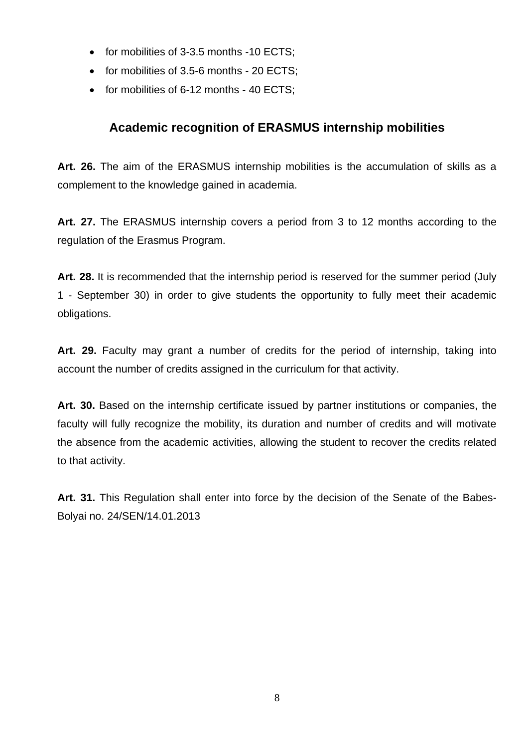- for mobilities of 3-3.5 months -10 ECTS;
- for mobilities of 3.5-6 months 20 ECTS;
- for mobilities of 6-12 months 40 ECTS;

### **Academic recognition of ERASMUS internship mobilities**

**Art. 26.** The aim of the ERASMUS internship mobilities is the accumulation of skills as a complement to the knowledge gained in academia.

**Art. 27.** The ERASMUS internship covers a period from 3 to 12 months according to the regulation of the Erasmus Program.

**Art. 28.** It is recommended that the internship period is reserved for the summer period (July 1 - September 30) in order to give students the opportunity to fully meet their academic obligations.

**Art. 29.** Faculty may grant a number of credits for the period of internship, taking into account the number of credits assigned in the curriculum for that activity.

**Art. 30.** Based on the internship certificate issued by partner institutions or companies, the faculty will fully recognize the mobility, its duration and number of credits and will motivate the absence from the academic activities, allowing the student to recover the credits related to that activity.

**Art. 31.** This Regulation shall enter into force by the decision of the Senate of the Babes-Bolyai no. 24/SEN/14.01.2013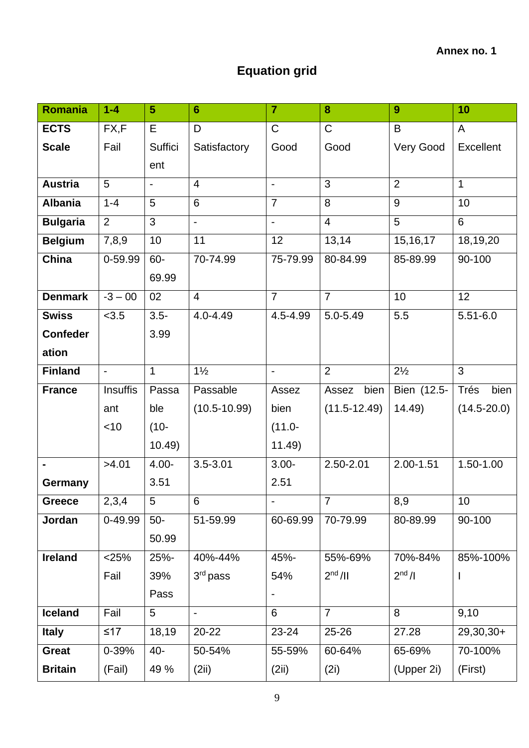# **Equation grid**

| Romania         | $1 - 4$         | 5                        | $6\phantom{1}6$  | $\overline{7}$           | 8                   | $\boldsymbol{9}$   | 10               |
|-----------------|-----------------|--------------------------|------------------|--------------------------|---------------------|--------------------|------------------|
| <b>ECTS</b>     | FX,F            | Е                        | D                | $\mathsf C$              | $\mathsf{C}$        | B                  | A                |
| <b>Scale</b>    | Fail            | Suffici                  | Satisfactory     | Good                     | Good                | Very Good          | <b>Excellent</b> |
|                 |                 | ent                      |                  |                          |                     |                    |                  |
| <b>Austria</b>  | 5               | $\overline{\phantom{0}}$ | $\overline{4}$   | $\blacksquare$           | 3                   | 2                  | $\mathbf{1}$     |
| <b>Albania</b>  | $1 - 4$         | 5                        | 6                | $\overline{7}$           | 8                   | 9                  | 10               |
| <b>Bulgaria</b> | $\overline{2}$  | $\overline{3}$           | $\blacksquare$   | $\overline{\phantom{0}}$ | $\overline{4}$      | 5                  | 6                |
| <b>Belgium</b>  | 7,8,9           | 10                       | 11               | 12                       | 13,14               | 15, 16, 17         | 18,19,20         |
| China           | 0-59.99         | 60-                      | 70-74.99         | 75-79.99                 | 80-84.99            | 85-89.99           | 90-100           |
|                 |                 | 69.99                    |                  |                          |                     |                    |                  |
| <b>Denmark</b>  | $-3 - 00$       | 02                       | $\overline{4}$   | $\overline{7}$           | $\overline{7}$      | 10                 | 12               |
| <b>Swiss</b>    | < 3.5           | $3.5 -$                  | $4.0 - 4.49$     | 4.5-4.99                 | 5.0-5.49            | 5.5                | $5.51 - 6.0$     |
| <b>Confeder</b> |                 | 3.99                     |                  |                          |                     |                    |                  |
| ation           |                 |                          |                  |                          |                     |                    |                  |
| <b>Finland</b>  | $\blacksquare$  | $\mathbf{1}$             | $1\frac{1}{2}$   | $\qquad \qquad -$        | $\overline{2}$      | $2\frac{1}{2}$     | 3                |
| <b>France</b>   | <b>Insuffis</b> | Passa                    | Passable         | Assez                    | bien<br>Assez       | Bien (12.5-        | Trés<br>bien     |
|                 | ant             | ble                      | $(10.5 - 10.99)$ | bien                     | $(11.5-12.49)$      | 14.49              | $(14.5 - 20.0)$  |
|                 | < 10            | $(10 -$                  |                  | $(11.0 -$                |                     |                    |                  |
|                 |                 | 10.49                    |                  | 11.49)                   |                     |                    |                  |
| $\blacksquare$  | >4.01           | $4.00 -$                 | $3.5 - 3.01$     | $3.00 -$                 | 2.50-2.01           | $2.00 - 1.51$      | 1.50-1.00        |
| Germany         |                 | 3.51                     |                  | 2.51                     |                     |                    |                  |
| <b>Greece</b>   | 2,3,4           | 5                        | 6                | $\blacksquare$           | $\overline{7}$      | 8,9                | 10               |
| Jordan          | 0-49.99         | $50-$                    | 51-59.99         | 60-69.99                 | 70-79.99            | 80-89.99           | 90-100           |
|                 |                 | 50.99                    |                  |                          |                     |                    |                  |
| <b>Ireland</b>  | $<$ 25%         | 25%-                     | 40%-44%          | 45%-                     | 55%-69%             | 70%-84%            | 85%-100%         |
|                 | Fail            | 39%                      | 3rd pass         | 54%                      | 2 <sup>nd</sup> /II | 2 <sup>nd</sup> /I | $\mathbf{I}$     |
|                 |                 | Pass                     |                  | $\overline{\phantom{0}}$ |                     |                    |                  |
| <b>Iceland</b>  | Fail            | 5 <sup>5</sup>           | $\blacksquare$   | 6                        | $\overline{7}$      | 8                  | 9,10             |
| <b>Italy</b>    | $≤17$           | 18,19                    | 20-22            | 23-24                    | 25-26               | 27.28              | 29,30,30+        |
| <b>Great</b>    | $0 - 39%$       | 40-                      | 50-54%           | 55-59%                   | 60-64%              | 65-69%             | 70-100%          |
| <b>Britain</b>  | (Fail)          | 49 %                     | (2ii)            | (2ii)                    | (2i)                | (Upper 2i)         | (First)          |